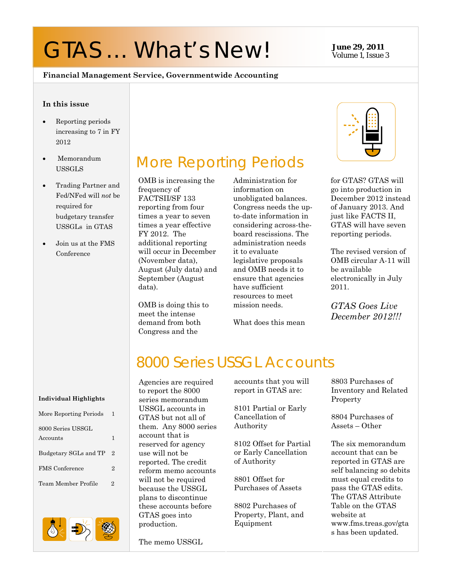# GTAS ... What's New! **June 29, 2011**

# Volume 1, Issue 3

#### **Financial Management Service, Governmentwide Accounting**

#### **In this issue**

- Reporting periods increasing to 7 in FY 2012
- Memorandum USSGLS
- Trading Partner and Fed/NFed will *not* be required for budgetary transfer USSGLs in GTAS
- Join us at the FMS Conference

# More Reporting Periods

OMB is increasing the frequency of FACTSII/SF 133 reporting from four times a year to seven times a year effective FY 2012. The additional reporting will occur in December (November data), August (July data) and September (August data).

OMB is doing this to meet the intense demand from both Congress and the

Administration for information on unobligated balances. Congress needs the upto-date information in considering across-theboard rescissions. The administration needs it to evaluate legislative proposals and OMB needs it to ensure that agencies have sufficient resources to meet mission needs.

What does this mean



for GTAS? GTAS will go into production in December 2012 instead of January 2013. And just like FACTS II, GTAS will have seven reporting periods.

The revised version of OMB circular A-11 will be available electronically in July 2011.

*GTAS Goes Live December 2012!!!* 

# 8000 Series USSGL Accounts

Agencies are required to report the 8000 series memorandum USSGL accounts in GTAS but not all of them. Any 8000 series account that is reserved for agency use will not be reported. The credit reform memo accounts will not be required because the USSGL plans to discontinue these accounts before GTAS goes into production.

The memo USSGL

accounts that you will report in GTAS are:

8101 Partial or Early Cancellation of Authority

8102 Offset for Partial or Early Cancellation of Authority

8801 Offset for Purchases of Assets

8802 Purchases of Property, Plant, and Equipment

8803 Purchases of Inventory and Related Property

8804 Purchases of Assets – Other

The six memorandum account that can be reported in GTAS are self balancing so debits must equal credits to pass the GTAS edits. The GTAS Attribute Table on the GTAS website at www.fms.treas.gov/gta s has been updated.

#### **Individual Highlights**

| More Reporting Periods        | 1                     |
|-------------------------------|-----------------------|
| 8000 Series USSGL<br>Accounts | 1                     |
| Budgetary SGLs and TP         | $\mathcal{D}_{\cdot}$ |
| <b>FMS</b> Conference         | $\overline{2}$        |
| Team Member Profile           | 2                     |